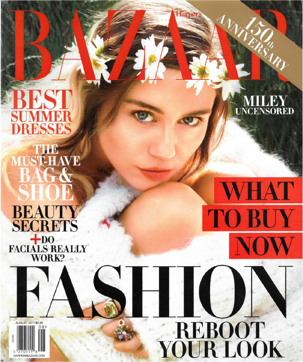FST **MM** Ы RESSES **THE<br>MUST-HAVE**  Harp

**UNCENSORED** 

**HAT** 

**TO BUY** 

REBOOT<br>YOUR LOOK

**BAG& BEAUTY SECRETS** FACIALS REALLY